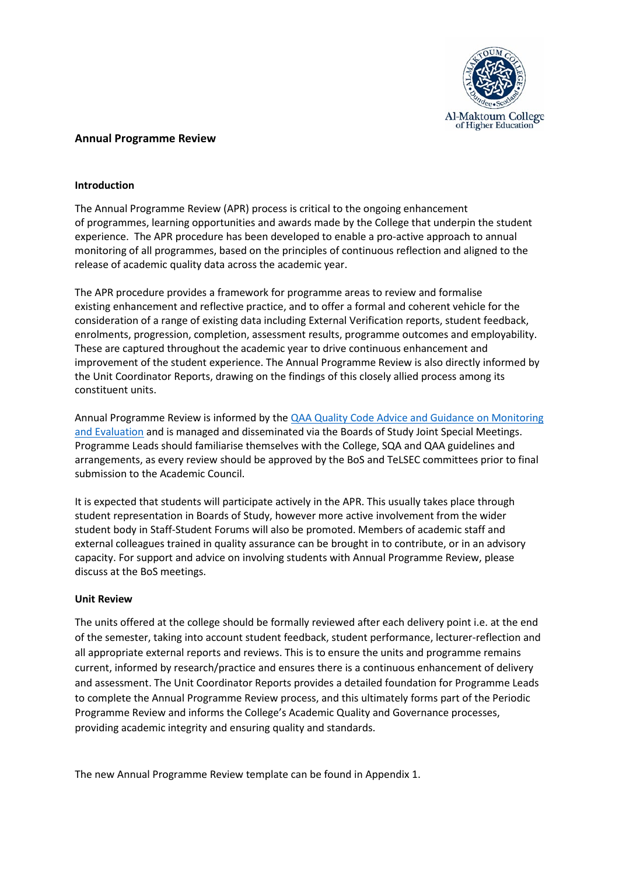

#### **Annual Programme Review**

#### **Introduction**

The Annual Programme Review (APR) process is critical to the ongoing enhancement of programmes, learning opportunities and awards made by the College that underpin the student experience. The APR procedure has been developed to enable a pro-active approach to annual monitoring of all programmes, based on the principles of continuous reflection and aligned to the release of academic quality data across the academic year.

The APR procedure provides a framework for programme areas to review and formalise existing enhancement and reflective practice, and to offer a formal and coherent vehicle for the consideration of a range of existing data including External Verification reports, student feedback, enrolments, progression, completion, assessment results, programme outcomes and employability. These are captured throughout the academic year to drive continuous enhancement and improvement of the student experience. The Annual Programme Review is also directly informed by the Unit Coordinator Reports, drawing on the findings of this closely allied process among its constituent units.

Annual Programme Review is informed by the **QAA Quality Code Advice and Guidance on Monitoring** [and Evaluation](https://www.qaa.ac.uk/quality-code/advice-and-guidance/monitoring-and-evaluation) and is managed and disseminated via the Boards of Study Joint Special Meetings. Programme Leads should familiarise themselves with the College, SQA and QAA guidelines and arrangements, as every review should be approved by the BoS and TeLSEC committees prior to final submission to the Academic Council.

It is expected that students will participate actively in the APR. This usually takes place through student representation in Boards of Study, however more active involvement from the wider student body in Staff-Student Forums will also be promoted. Members of academic staff and external colleagues trained in quality assurance can be brought in to contribute, or in an advisory capacity. For support and advice on involving students with Annual Programme Review, please discuss at the BoS meetings.

#### **Unit Review**

The units offered at the college should be formally reviewed after each delivery point i.e. at the end of the semester, taking into account student feedback, student performance, lecturer-reflection and all appropriate external reports and reviews. This is to ensure the units and programme remains current, informed by research/practice and ensures there is a continuous enhancement of delivery and assessment. The Unit Coordinator Reports provides a detailed foundation for Programme Leads to complete the Annual Programme Review process, and this ultimately forms part of the Periodic Programme Review and informs the College's Academic Quality and Governance processes, providing academic integrity and ensuring quality and standards.

The new Annual Programme Review template can be found in Appendix 1.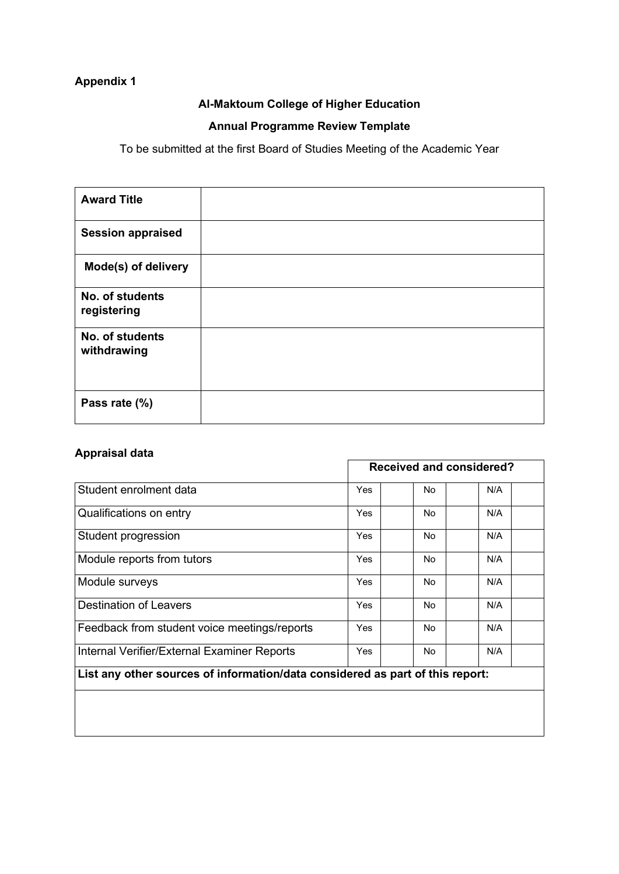# **Appendix 1**

## **Al-Maktoum College of Higher Education**

## **Annual Programme Review Template**

To be submitted at the first Board of Studies Meeting of the Academic Year

| <b>Award Title</b>             |  |
|--------------------------------|--|
| <b>Session appraised</b>       |  |
| Mode(s) of delivery            |  |
| No. of students<br>registering |  |
| No. of students<br>withdrawing |  |
| Pass rate (%)                  |  |

## **Appraisal data**

|                                                                               | <b>Received and considered?</b> |           |     |
|-------------------------------------------------------------------------------|---------------------------------|-----------|-----|
| Student enrolment data                                                        | Yes                             | <b>No</b> | N/A |
| Qualifications on entry                                                       | <b>Yes</b>                      | No.       | N/A |
| Student progression                                                           | Yes                             | No.       | N/A |
| Module reports from tutors                                                    | Yes                             | No        | N/A |
| Module surveys                                                                | <b>Yes</b>                      | No.       | N/A |
| <b>Destination of Leavers</b>                                                 | Yes                             | <b>No</b> | N/A |
| Feedback from student voice meetings/reports                                  | <b>Yes</b>                      | <b>No</b> | N/A |
| Internal Verifier/External Examiner Reports                                   | <b>Yes</b>                      | <b>No</b> | N/A |
| List any other sources of information/data considered as part of this report: |                                 |           |     |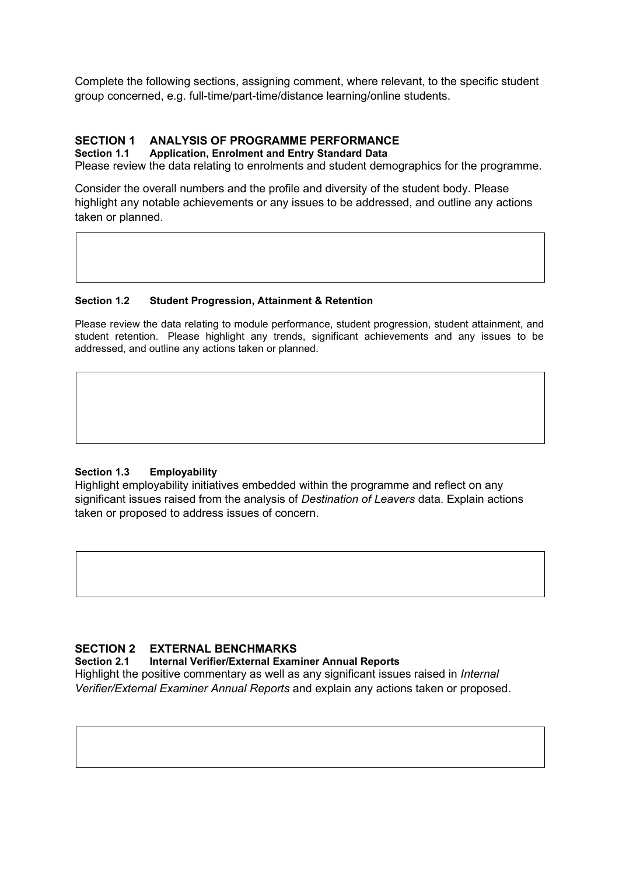Complete the following sections, assigning comment, where relevant, to the specific student group concerned, e.g. full-time/part-time/distance learning/online students.

# **SECTION 1 ANALYSIS OF PROGRAMME PERFORMANCE**

#### **Section 1.1 Application, Enrolment and Entry Standard Data**

Please review the data relating to enrolments and student demographics for the programme.

Consider the overall numbers and the profile and diversity of the student body. Please highlight any notable achievements or any issues to be addressed, and outline any actions taken or planned.

#### **Section 1.2 Student Progression, Attainment & Retention**

Please review the data relating to module performance, student progression, student attainment, and student retention. Please highlight any trends, significant achievements and any issues to be addressed, and outline any actions taken or planned.

#### **Section 1.3 Employability**

Highlight employability initiatives embedded within the programme and reflect on any significant issues raised from the analysis of *Destination of Leavers* data. Explain actions taken or proposed to address issues of concern.

#### **SECTION 2 EXTERNAL BENCHMARKS**

**Section 2.1 Internal Verifier/External Examiner Annual Reports**

Highlight the positive commentary as well as any significant issues raised in *Internal Verifier/External Examiner Annual Reports* and explain any actions taken or proposed.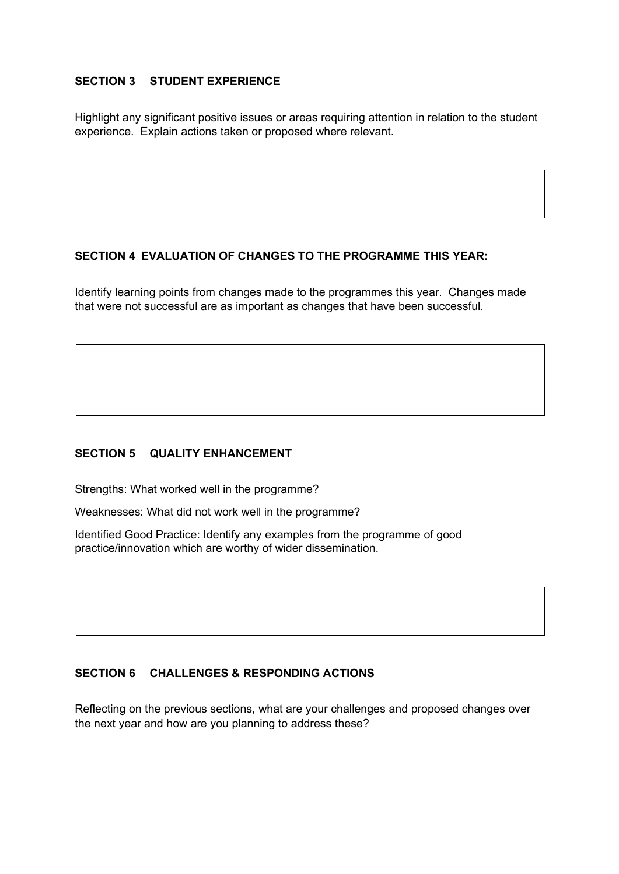## **SECTION 3 STUDENT EXPERIENCE**

Highlight any significant positive issues or areas requiring attention in relation to the student experience. Explain actions taken or proposed where relevant.

## **SECTION 4 EVALUATION OF CHANGES TO THE PROGRAMME THIS YEAR:**

Identify learning points from changes made to the programmes this year. Changes made that were not successful are as important as changes that have been successful.

#### **SECTION 5 QUALITY ENHANCEMENT**

Strengths: What worked well in the programme?

Weaknesses: What did not work well in the programme?

Identified Good Practice: Identify any examples from the programme of good practice/innovation which are worthy of wider dissemination.

#### **SECTION 6 CHALLENGES & RESPONDING ACTIONS**

Reflecting on the previous sections, what are your challenges and proposed changes over the next year and how are you planning to address these?